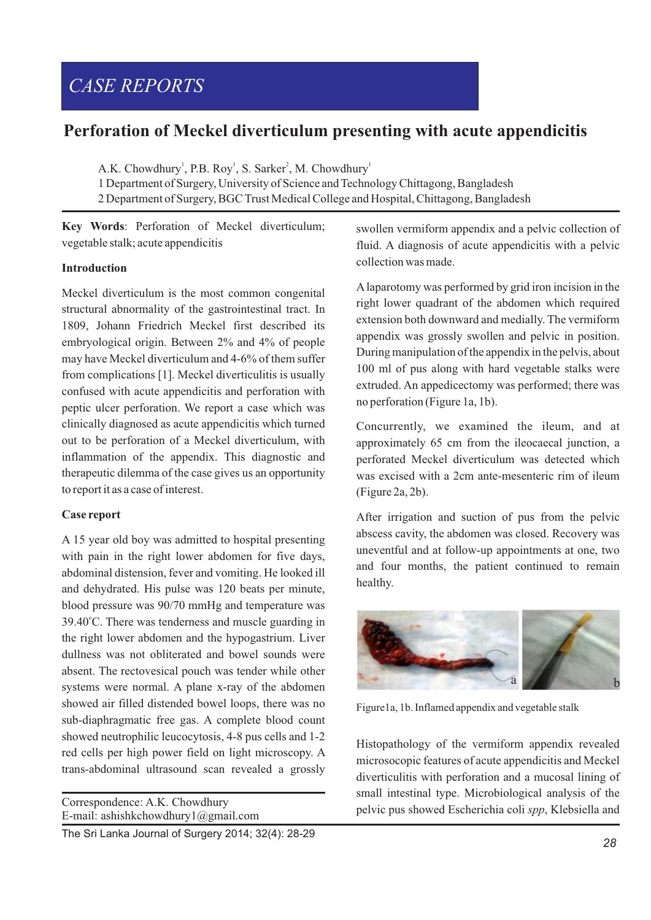# *CASE REPORTS*

# **Perforation of Meckel diverticulum presenting with acute appendicitis**

A.K. Chowdhury<sup>1</sup>, P.B. Roy<sup>1</sup>, S. Sarker<sup>2</sup>, M. Chowdhury<sup>1</sup>

1 Department of Surgery, University of Science and Technology Chittagong, Bangladesh 2 Department of Surgery, BGC Trust Medical College and Hospital, Chittagong, Bangladesh

**Key Words**: Perforation of Meckel diverticulum; vegetable stalk; acute appendicitis

### **Introduction**

Meckel diverticulum is the most common congenital structural abnormality of the gastrointestinal tract. In 1809, Johann Friedrich Meckel first described its embryological origin. Between 2% and 4% of people may have Meckel diverticulum and 4-6% of them suffer from complications [1]. Meckel diverticulitis is usually confused with acute appendicitis and perforation with peptic ulcer perforation. We report a case which was clinically diagnosed as acute appendicitis which turned out to be perforation of a Meckel diverticulum, with inflammation of the appendix. This diagnostic and therapeutic dilemma of the case gives us an opportunity to report it as a case of interest.

## **Case report**

A 15 year old boy was admitted to hospital presenting with pain in the right lower abdomen for five days, abdominal distension, fever and vomiting. He looked ill and dehydrated. His pulse was 120 beats per minute, blood pressure was 90/70 mmHg and temperature was 39.40°C. There was tenderness and muscle guarding in the right lower abdomen and the hypogastrium. Liver dullness was not obliterated and bowel sounds were absent. The rectovesical pouch was tender while other systems were normal. A plane x-ray of the abdomen showed air filled distended bowel loops, there was no sub-diaphragmatic free gas. A complete blood count showed neutrophilic leucocytosis, 4-8 pus cells and 1-2 red cells per high power field on light microscopy. A trans-abdominal ultrasound scan revealed a grossly

Correspondence: A.K. Chowdhury E-mail: ashishkchowdhury1@gmail.com

The Sri Lanka Journal of Surgery 2014; 32(4): 28-29

swollen vermiform appendix and a pelvic collection of fluid. A diagnosis of acute appendicitis with a pelvic collection was made.

Alaparotomy was performed by grid iron incision in the right lower quadrant of the abdomen which required extension both downward and medially. The vermiform appendix was grossly swollen and pelvic in position. During manipulation of the appendix in the pelvis, about 100 ml of pus along with hard vegetable stalks were extruded. An appedicectomy was performed; there was no perforation (Figure 1a, 1b).

Concurrently, we examined the ileum, and at approximately 65 cm from the ileocaecal junction, a perforated Meckel diverticulum was detected which was excised with a 2cm ante-mesenteric rim of ileum (Figure 2a, 2b).

After irrigation and suction of pus from the pelvic abscess cavity, the abdomen was closed. Recovery was uneventful and at follow-up appointments at one, two and four months, the patient continued to remain healthy.



Figure1a, 1b. Inflamed appendix and vegetable stalk

Histopathology of the vermiform appendix revealed microsocopic features of acute appendicitis and Meckel diverticulitis with perforation and a mucosal lining of small intestinal type. Microbiological analysis of the pelvic pus showed Escherichia coli *spp*, Klebsiella and